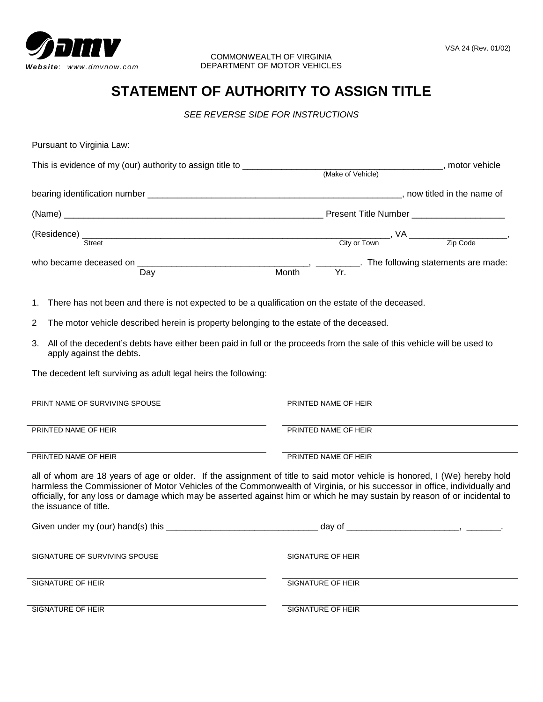

## **STATEMENT OF AUTHORITY TO ASSIGN TITLE**

## *SEE REVERSE SIDE FOR INSTRUCTIONS*

| Pursuant to Virginia Law:                                                                                                                                                                                                                                                                                                                                                                                                               |                                                                |  |
|-----------------------------------------------------------------------------------------------------------------------------------------------------------------------------------------------------------------------------------------------------------------------------------------------------------------------------------------------------------------------------------------------------------------------------------------|----------------------------------------------------------------|--|
| This is evidence of my (our) authority to assign title to ______________________                                                                                                                                                                                                                                                                                                                                                        | __________________________, motor vehicle<br>(Make of Vehicle) |  |
|                                                                                                                                                                                                                                                                                                                                                                                                                                         |                                                                |  |
|                                                                                                                                                                                                                                                                                                                                                                                                                                         |                                                                |  |
| (Residence) The City of Town (Network of Town City of Town City of Town Town Zip Code The City of Town City of Town City of Town (Network)                                                                                                                                                                                                                                                                                              |                                                                |  |
|                                                                                                                                                                                                                                                                                                                                                                                                                                         |                                                                |  |
| who became deceased on $\overline{\phantom{a}}$ Day $\overline{\phantom{a}}$ Day $\overline{\phantom{a}}$ Month $\overline{\phantom{a}}$ The following statements are made:<br>Day                                                                                                                                                                                                                                                      |                                                                |  |
| There has not been and there is not expected to be a qualification on the estate of the deceased.<br>1.<br>The motor vehicle described herein is property belonging to the estate of the deceased.<br>2<br>All of the decedent's debts have either been paid in full or the proceeds from the sale of this vehicle will be used to<br>3.<br>apply against the debts.<br>The decedent left surviving as adult legal heirs the following: |                                                                |  |
| PRINT NAME OF SURVIVING SPOUSE                                                                                                                                                                                                                                                                                                                                                                                                          | PRINTED NAME OF HEIR                                           |  |
| PRINTED NAME OF HEIR                                                                                                                                                                                                                                                                                                                                                                                                                    | PRINTED NAME OF HEIR                                           |  |
| PRINTED NAME OF HEIR                                                                                                                                                                                                                                                                                                                                                                                                                    | PRINTED NAME OF HEIR                                           |  |
| all of whom are 18 years of age or older. If the assignment of title to said motor vehicle is honored, I (We) hereby hold<br>harmless the Commissioner of Motor Vehicles of the Commonwealth of Virginia, or his successor in office, individually and<br>officially, for any loss or damage which may be asserted against him or which he may sustain by reason of or incidental to<br>the issuance of title.                          |                                                                |  |
|                                                                                                                                                                                                                                                                                                                                                                                                                                         |                                                                |  |
|                                                                                                                                                                                                                                                                                                                                                                                                                                         |                                                                |  |
| SIGNATURE OF SURVIVING SPOUSE                                                                                                                                                                                                                                                                                                                                                                                                           | SIGNATURE OF HEIR                                              |  |
| SIGNATURE OF HEIR                                                                                                                                                                                                                                                                                                                                                                                                                       | SIGNATURE OF HEIR                                              |  |
| SIGNATURE OF HEIR                                                                                                                                                                                                                                                                                                                                                                                                                       | SIGNATURE OF HEIR                                              |  |